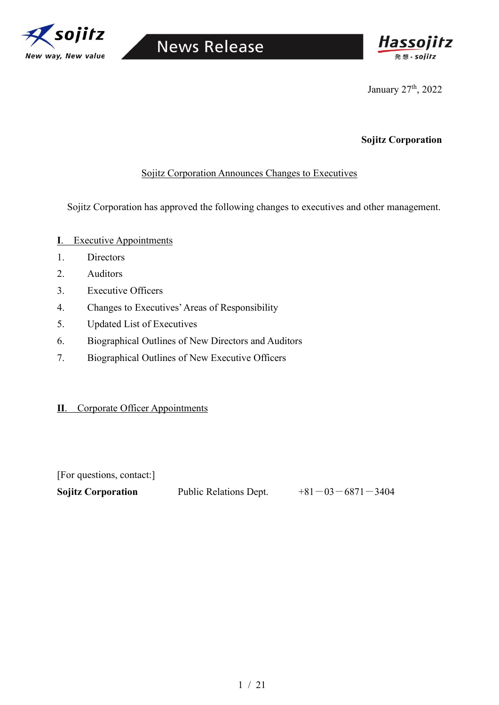



January 27<sup>th</sup>, 2022

### **Sojitz Corporation**

### Sojitz Corporation Announces Changes to Executives

Sojitz Corporation has approved the following changes to executives and other management.

- **I**. Executive Appointments
- 1. Directors
- 2. Auditors
- 3. Executive Officers
- 4. Changes to Executives' Areas of Responsibility
- 5. Updated List of Executives
- 6. Biographical Outlines of New Directors and Auditors
- 7. Biographical Outlines of New Executive Officers

#### **Ⅱ**. Corporate Officer Appointments

[For questions, contact:]

**Sojitz Corporation** Public Relations Dept.  $+81-03-6871-3404$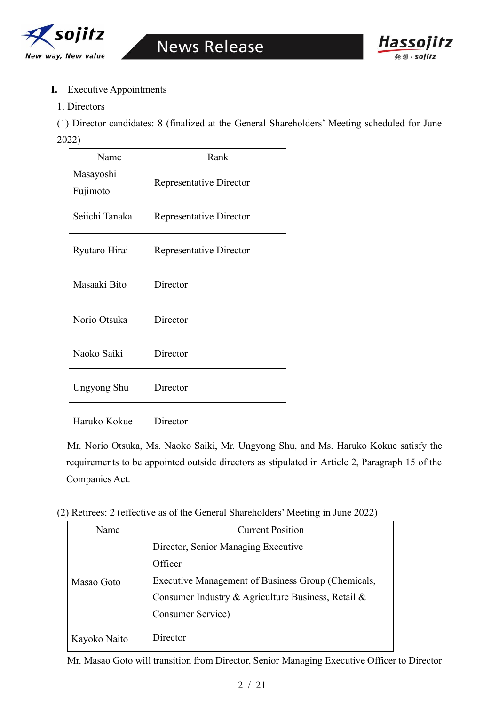



#### **I.** Executive Appointments

#### 1. Directors

(1) Director candidates: 8 (finalized at the General Shareholders' Meeting scheduled for June 2022)

| Name                  | Rank                    |
|-----------------------|-------------------------|
| Masayoshi<br>Fujimoto | Representative Director |
| Seiichi Tanaka        | Representative Director |
| Ryutaro Hirai         | Representative Director |
| Masaaki Bito          | Director                |
| Norio Otsuka          | Director                |
| Naoko Saiki           | Director                |
| Ungyong Shu           | Director                |
| Haruko Kokue          | Director                |

Mr. Norio Otsuka, Ms. Naoko Saiki, Mr. Ungyong Shu, and Ms. Haruko Kokue satisfy the requirements to be appointed outside directors as stipulated in Article 2, Paragraph 15 of the Companies Act.

(2) Retirees: 2 (effective as of the General Shareholders' Meeting in June 2022)

| Name                                | <b>Current Position</b>                            |  |
|-------------------------------------|----------------------------------------------------|--|
| Director, Senior Managing Executive |                                                    |  |
|                                     | Officer                                            |  |
| Masao Goto                          | Executive Management of Business Group (Chemicals, |  |
|                                     | Consumer Industry & Agriculture Business, Retail & |  |
|                                     | Consumer Service)                                  |  |
| Kayoko Naito                        | Director                                           |  |

Mr. Masao Goto will transition from Director, Senior Managing Executive Officer to Director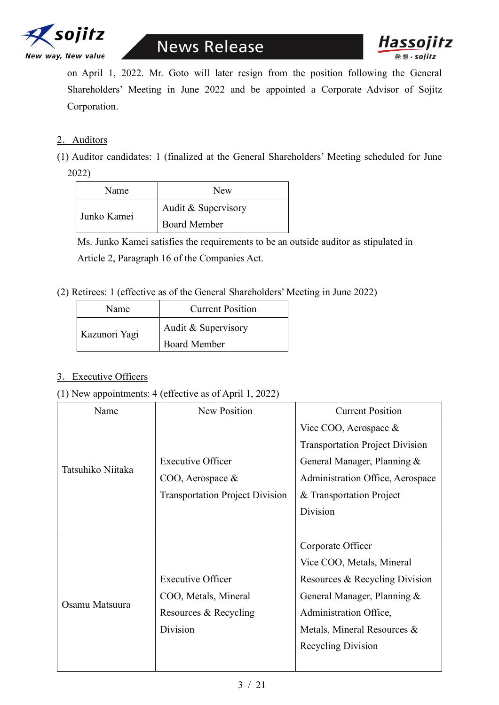



on April 1, 2022. Mr. Goto will later resign from the position following the General Shareholders' Meeting in June 2022 and be appointed a Corporate Advisor of Sojitz Corporation.

#### 2. Auditors

(1) Auditor candidates: 1 (finalized at the General Shareholders' Meeting scheduled for June 2022)

| Name        | New                 |  |
|-------------|---------------------|--|
| Junko Kamei | Audit & Supervisory |  |
|             | <b>Board Member</b> |  |

Ms. Junko Kamei satisfies the requirements to be an outside auditor as stipulated in Article 2, Paragraph 16 of the Companies Act.

(2) Retirees: 1 (effective as of the General Shareholders' Meeting in June 2022)

| Name          | <b>Current Position</b> |  |
|---------------|-------------------------|--|
| Kazunori Yagi | Audit & Supervisory     |  |
|               | <b>Board Member</b>     |  |

#### 3.Executive Officers

(1) New appointments: 4 (effective as of April 1, 2022)

| Name              | New Position                           | <b>Current Position</b>                |
|-------------------|----------------------------------------|----------------------------------------|
|                   |                                        | Vice COO, Aerospace $\&$               |
|                   |                                        | <b>Transportation Project Division</b> |
|                   | <b>Executive Officer</b>               | General Manager, Planning &            |
| Tatsuhiko Niitaka | $COO$ , Aerospace &                    | Administration Office, Aerospace       |
|                   | <b>Transportation Project Division</b> | & Transportation Project               |
|                   |                                        | Division                               |
|                   |                                        |                                        |
|                   |                                        | Corporate Officer                      |
|                   |                                        | Vice COO, Metals, Mineral              |
| Osamu Matsuura    | <b>Executive Officer</b>               | Resources & Recycling Division         |
|                   | COO, Metals, Mineral                   | General Manager, Planning &            |
|                   | Resources & Recycling                  | Administration Office,                 |
|                   | Division                               | Metals, Mineral Resources &            |
|                   |                                        | Recycling Division                     |
|                   |                                        |                                        |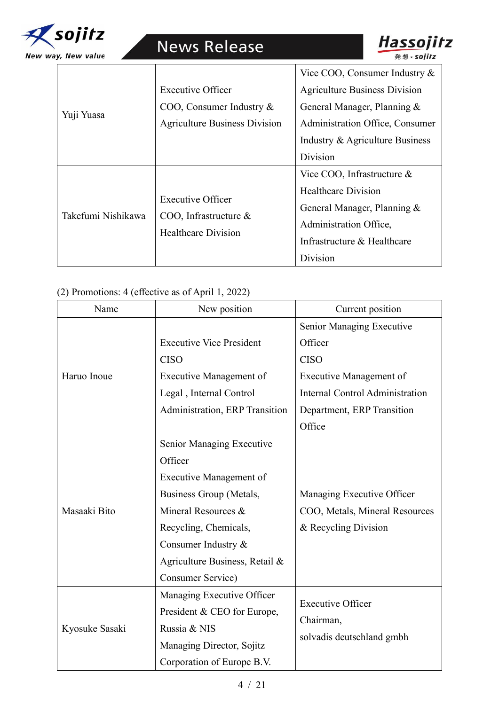

|                    |                                                                                    | Vice COO, Consumer Industry $&$      |
|--------------------|------------------------------------------------------------------------------------|--------------------------------------|
|                    | <b>Executive Officer</b>                                                           | <b>Agriculture Business Division</b> |
|                    | COO, Consumer Industry &                                                           | General Manager, Planning &          |
| Yuji Yuasa         | <b>Agriculture Business Division</b>                                               | Administration Office, Consumer      |
|                    |                                                                                    | Industry & Agriculture Business      |
|                    |                                                                                    | Division                             |
|                    |                                                                                    | Vice COO, Infrastructure $\&$        |
| Takefumi Nishikawa | <b>Executive Officer</b><br>COO, Infrastructure $\&$<br><b>Healthcare Division</b> | <b>Healthcare Division</b>           |
|                    |                                                                                    | General Manager, Planning &          |
|                    |                                                                                    | Administration Office,               |
|                    |                                                                                    | Infrastructure & Healthcare          |
|                    |                                                                                    | Division                             |

Hassojitz

# (2) Promotions: 4 (effective as of April 1, 2022)

| Name           | New position                    | Current position                       |
|----------------|---------------------------------|----------------------------------------|
|                |                                 | Senior Managing Executive              |
|                | <b>Executive Vice President</b> | Officer                                |
|                | <b>CISO</b>                     | <b>CISO</b>                            |
| Haruo Inoue    | <b>Executive Management of</b>  | <b>Executive Management of</b>         |
|                | Legal, Internal Control         | <b>Internal Control Administration</b> |
|                | Administration, ERP Transition  | Department, ERP Transition             |
|                |                                 | Office                                 |
|                | Senior Managing Executive       |                                        |
|                | Officer                         |                                        |
|                | Executive Management of         |                                        |
|                | Business Group (Metals,         | Managing Executive Officer             |
| Masaaki Bito   | Mineral Resources &             | COO, Metals, Mineral Resources         |
|                | Recycling, Chemicals,           | & Recycling Division                   |
|                | Consumer Industry &             |                                        |
|                | Agriculture Business, Retail &  |                                        |
|                | Consumer Service)               |                                        |
|                | Managing Executive Officer      | <b>Executive Officer</b>               |
| Kyosuke Sasaki | President & CEO for Europe,     |                                        |
|                | Russia & NIS                    | Chairman,                              |
|                | Managing Director, Sojitz       | solvadis deutschland gmbh              |
|                | Corporation of Europe B.V.      |                                        |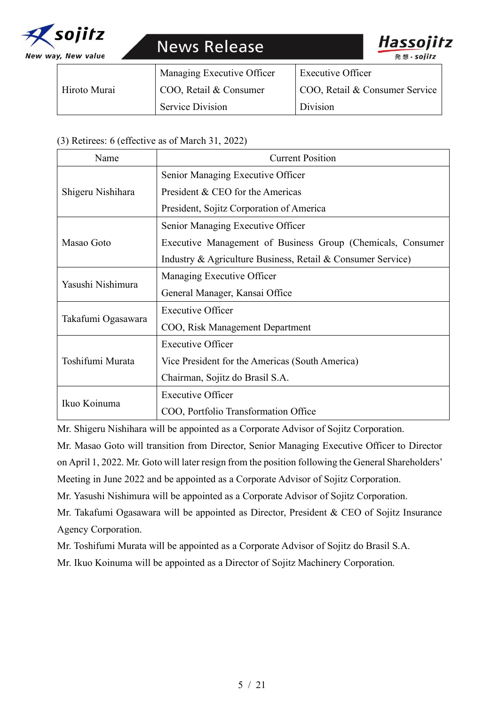



|              | Managing Executive Officer | Executive Officer              |
|--------------|----------------------------|--------------------------------|
| Hiroto Murai | COO, Retail & Consumer     | COO, Retail & Consumer Service |
|              | <b>Service Division</b>    | Division                       |

### (3) Retirees: 6 (effective as of March 31, 2022)

| Name               | <b>Current Position</b>                                     |  |
|--------------------|-------------------------------------------------------------|--|
|                    | Senior Managing Executive Officer                           |  |
| Shigeru Nishihara  | President & CEO for the Americas                            |  |
|                    | President, Sojitz Corporation of America                    |  |
|                    | Senior Managing Executive Officer                           |  |
| Masao Goto         | Executive Management of Business Group (Chemicals, Consumer |  |
|                    | Industry & Agriculture Business, Retail & Consumer Service) |  |
|                    | Managing Executive Officer                                  |  |
| Yasushi Nishimura  | General Manager, Kansai Office                              |  |
|                    | <b>Executive Officer</b>                                    |  |
| Takafumi Ogasawara | COO, Risk Management Department                             |  |
|                    | <b>Executive Officer</b>                                    |  |
| Toshifumi Murata   | Vice President for the Americas (South America)             |  |
|                    | Chairman, Sojitz do Brasil S.A.                             |  |
|                    | <b>Executive Officer</b>                                    |  |
| Ikuo Koinuma       | COO, Portfolio Transformation Office                        |  |

Mr. Shigeru Nishihara will be appointed as a Corporate Advisor of Sojitz Corporation.

Mr. Masao Goto will transition from Director, Senior Managing Executive Officer to Director on April 1, 2022. Mr. Goto will later resign from the position following the General Shareholders' Meeting in June 2022 and be appointed as a Corporate Advisor of Sojitz Corporation.

Mr. Yasushi Nishimura will be appointed as a Corporate Advisor of Sojitz Corporation.

Mr. Takafumi Ogasawara will be appointed as Director, President & CEO of Sojitz Insurance Agency Corporation.

Mr. Toshifumi Murata will be appointed as a Corporate Advisor of Sojitz do Brasil S.A.

Mr. Ikuo Koinuma will be appointed as a Director of Sojitz Machinery Corporation.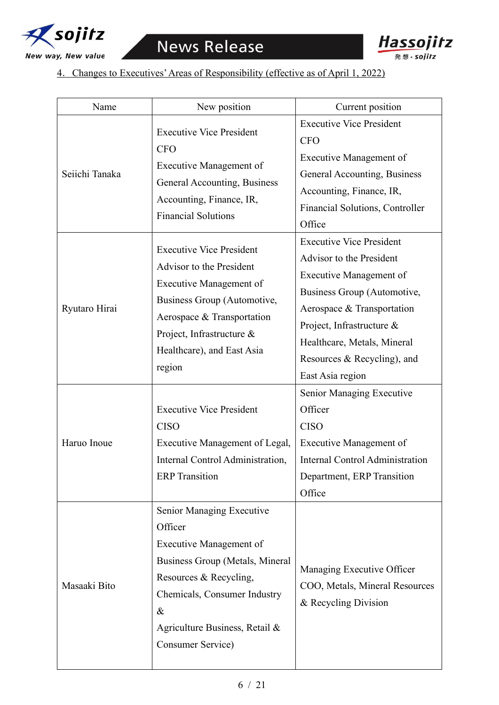



# 4.Changes to Executives' Areas of Responsibility (effective as of April 1, 2022)

| Name           | New position                                                                                                                                                                                                                           | Current position                                                                                                                                                                                                                                                   |
|----------------|----------------------------------------------------------------------------------------------------------------------------------------------------------------------------------------------------------------------------------------|--------------------------------------------------------------------------------------------------------------------------------------------------------------------------------------------------------------------------------------------------------------------|
| Seiichi Tanaka | <b>Executive Vice President</b><br><b>CFO</b><br><b>Executive Management of</b><br>General Accounting, Business<br>Accounting, Finance, IR,<br><b>Financial Solutions</b>                                                              | <b>Executive Vice President</b><br><b>CFO</b><br>Executive Management of<br>General Accounting, Business<br>Accounting, Finance, IR,<br>Financial Solutions, Controller<br>Office                                                                                  |
| Ryutaro Hirai  | <b>Executive Vice President</b><br>Advisor to the President<br><b>Executive Management of</b><br><b>Business Group (Automotive,</b><br>Aerospace & Transportation<br>Project, Infrastructure &<br>Healthcare), and East Asia<br>region | <b>Executive Vice President</b><br>Advisor to the President<br>Executive Management of<br>Business Group (Automotive,<br>Aerospace & Transportation<br>Project, Infrastructure &<br>Healthcare, Metals, Mineral<br>Resources & Recycling), and<br>East Asia region |
| Haruo Inoue    | <b>Executive Vice President</b><br><b>CISO</b><br>Executive Management of Legal,<br>Internal Control Administration,<br><b>ERP</b> Transition                                                                                          | Senior Managing Executive<br>Officer<br><b>CISO</b><br>Executive Management of<br><b>Internal Control Administration</b><br>Department, ERP Transition<br>Office                                                                                                   |
| Masaaki Bito   | Senior Managing Executive<br>Officer<br>Executive Management of<br>Business Group (Metals, Mineral<br>Resources & Recycling,<br>Chemicals, Consumer Industry<br>$\&$<br>Agriculture Business, Retail &<br>Consumer Service)            | Managing Executive Officer<br>COO, Metals, Mineral Resources<br>& Recycling Division                                                                                                                                                                               |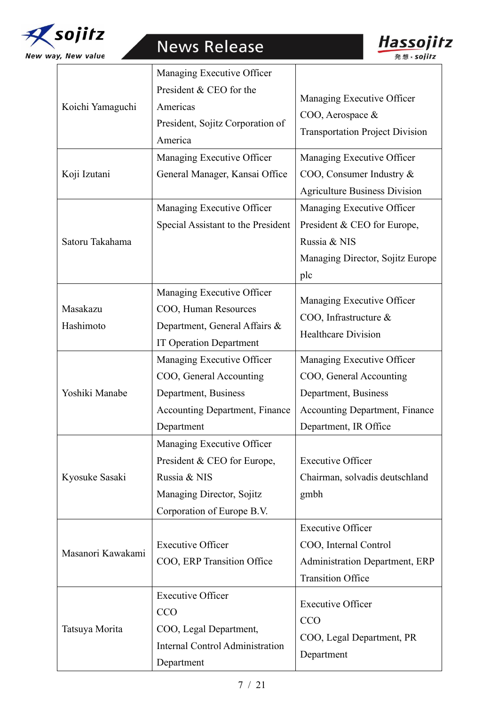



|                   | Managing Executive Officer            |                                                     |
|-------------------|---------------------------------------|-----------------------------------------------------|
|                   | President & CEO for the               |                                                     |
| Koichi Yamaguchi  | Americas                              | Managing Executive Officer                          |
|                   | President, Sojitz Corporation of      | COO, Aerospace &                                    |
|                   | America                               | <b>Transportation Project Division</b>              |
|                   | Managing Executive Officer            | Managing Executive Officer                          |
| Koji Izutani      | General Manager, Kansai Office        | COO, Consumer Industry &                            |
|                   |                                       | <b>Agriculture Business Division</b>                |
|                   | Managing Executive Officer            | Managing Executive Officer                          |
|                   | Special Assistant to the President    | President & CEO for Europe,                         |
| Satoru Takahama   |                                       | Russia & NIS                                        |
|                   |                                       | Managing Director, Sojitz Europe                    |
|                   |                                       | plc                                                 |
|                   | Managing Executive Officer            | Managing Executive Officer                          |
| Masakazu          | COO, Human Resources                  |                                                     |
| Hashimoto         | Department, General Affairs &         | COO, Infrastructure &<br><b>Healthcare Division</b> |
|                   | <b>IT Operation Department</b>        |                                                     |
|                   | Managing Executive Officer            | Managing Executive Officer                          |
|                   | COO, General Accounting               | COO, General Accounting                             |
| Yoshiki Manabe    | Department, Business                  | Department, Business                                |
|                   | <b>Accounting Department, Finance</b> | <b>Accounting Department, Finance</b>               |
|                   | Department                            | Department, IR Office                               |
|                   | Managing Executive Officer            |                                                     |
|                   | President & CEO for Europe,           | <b>Executive Officer</b>                            |
| Kyosuke Sasaki    | Russia & NIS                          | Chairman, solvadis deutschland                      |
|                   | Managing Director, Sojitz             | gmbh                                                |
|                   | Corporation of Europe B.V.            |                                                     |
|                   |                                       | <b>Executive Officer</b>                            |
| Masanori Kawakami | <b>Executive Officer</b>              | COO, Internal Control                               |
|                   | COO, ERP Transition Office            | <b>Administration Department, ERP</b>               |
|                   |                                       | <b>Transition Office</b>                            |
|                   | <b>Executive Officer</b>              | <b>Executive Officer</b>                            |
|                   | <b>CCO</b>                            | CCO                                                 |
| Tatsuya Morita    | COO, Legal Department,                |                                                     |
|                   | Internal Control Administration       | COO, Legal Department, PR                           |
|                   | Department                            | Department                                          |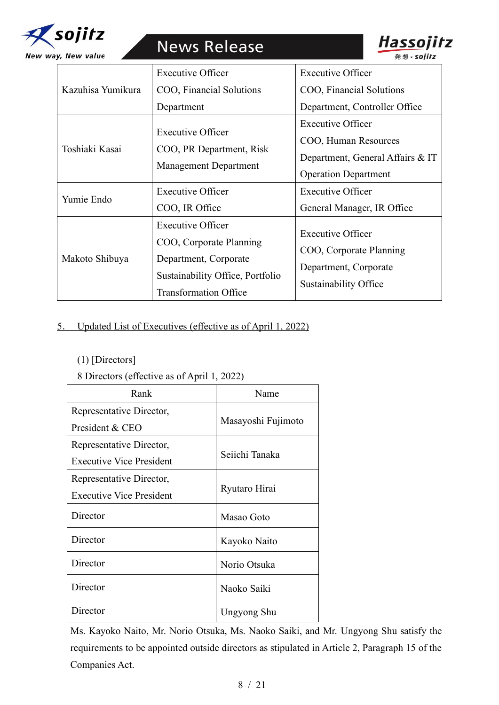



Hassojitz

発想 × sojitz

# 5. Updated List of Executives (effective as of April 1, 2022)

(1) [Directors]

## 8 Directors (effective as of April 1, 2022)

| Rank                            | Name               |  |
|---------------------------------|--------------------|--|
| Representative Director,        |                    |  |
| President & CEO                 | Masayoshi Fujimoto |  |
| Representative Director,        |                    |  |
| <b>Executive Vice President</b> | Seiichi Tanaka     |  |
| Representative Director,        |                    |  |
| <b>Executive Vice President</b> | Ryutaro Hirai      |  |
| Director                        | Masao Goto         |  |
| Director                        | Kayoko Naito       |  |
| Director                        | Norio Otsuka       |  |
| Director                        | Naoko Saiki        |  |
| Director                        | Ungyong Shu        |  |

Ms. Kayoko Naito, Mr. Norio Otsuka, Ms. Naoko Saiki, and Mr. Ungyong Shu satisfy the requirements to be appointed outside directors as stipulated in Article 2, Paragraph 15 of the Companies Act.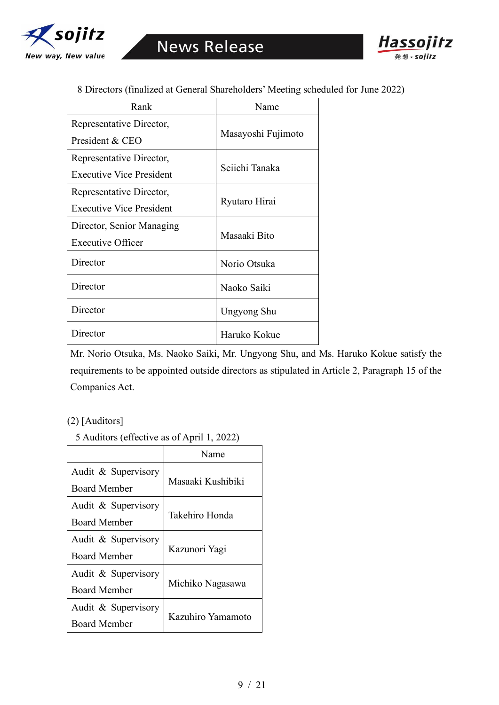



8 Directors (finalized at General Shareholders' Meeting scheduled for June 2022)

| Rank                            | Name               |  |
|---------------------------------|--------------------|--|
| Representative Director,        |                    |  |
| President & CEO                 | Masayoshi Fujimoto |  |
| Representative Director,        |                    |  |
| <b>Executive Vice President</b> | Seiichi Tanaka     |  |
| Representative Director,        | Ryutaro Hirai      |  |
| Executive Vice President        |                    |  |
| Director, Senior Managing       | Masaaki Bito       |  |
| <b>Executive Officer</b>        |                    |  |
| Director                        | Norio Otsuka       |  |
| Director                        | Naoko Saiki        |  |
| Director                        | Ungyong Shu        |  |
| Director                        | Haruko Kokue       |  |

Mr. Norio Otsuka, Ms. Naoko Saiki, Mr. Ungyong Shu, and Ms. Haruko Kokue satisfy the requirements to be appointed outside directors as stipulated in Article 2, Paragraph 15 of the Companies Act.

#### (2) [Auditors]

5 Auditors (effective as of April 1, 2022)

|                     | Name              |  |
|---------------------|-------------------|--|
| Audit & Supervisory |                   |  |
| <b>Board Member</b> | Masaaki Kushibiki |  |
| Audit & Supervisory |                   |  |
| <b>Board Member</b> | Takehiro Honda    |  |
| Audit & Supervisory |                   |  |
| <b>Board Member</b> | Kazunori Yagi     |  |
| Audit & Supervisory |                   |  |
| <b>Board Member</b> | Michiko Nagasawa  |  |
| Audit & Supervisory |                   |  |
| Board Member        | Kazuhiro Yamamoto |  |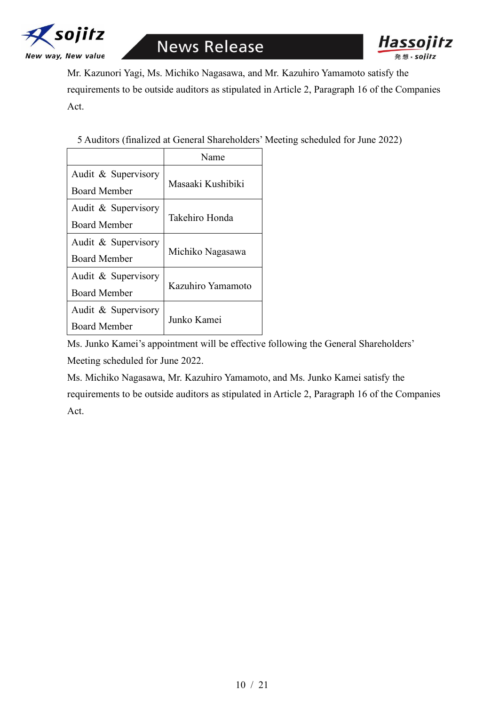



Mr. Kazunori Yagi, Ms. Michiko Nagasawa, and Mr. Kazuhiro Yamamoto satisfy the requirements to be outside auditors as stipulated in Article 2, Paragraph 16 of the Companies Act.

5 Auditors (finalized at General Shareholders' Meeting scheduled for June 2022)

|                     | Name              |  |
|---------------------|-------------------|--|
| Audit & Supervisory |                   |  |
| <b>Board Member</b> | Masaaki Kushibiki |  |
| Audit & Supervisory |                   |  |
| <b>Board Member</b> | Takehiro Honda    |  |
| Audit & Supervisory |                   |  |
| <b>Board Member</b> | Michiko Nagasawa  |  |
| Audit & Supervisory |                   |  |
| <b>Board Member</b> | Kazuhiro Yamamoto |  |
| Audit & Supervisory |                   |  |
| Board Member        | Junko Kamei       |  |

Ms. Junko Kamei's appointment will be effective following the General Shareholders' Meeting scheduled for June 2022.

Ms. Michiko Nagasawa, Mr. Kazuhiro Yamamoto, and Ms. Junko Kamei satisfy the requirements to be outside auditors as stipulated in Article 2, Paragraph 16 of the Companies Act.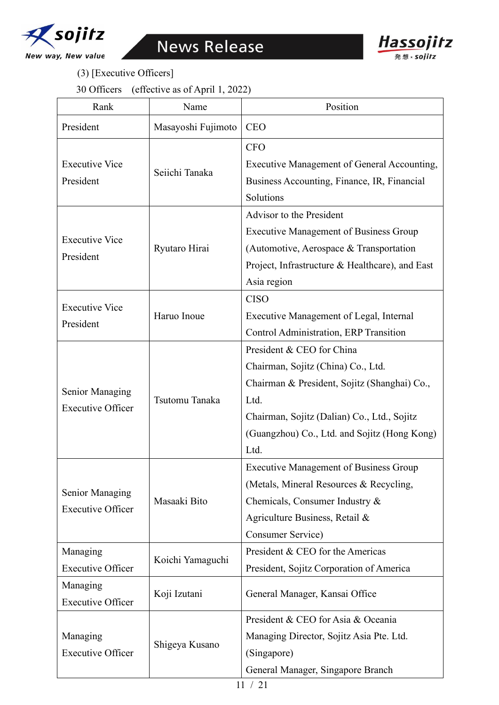



(3) [Executive Officers]

30 Officers (effective as of April 1, 2022)

| Rank                     | Name               | Position                                        |
|--------------------------|--------------------|-------------------------------------------------|
| President                | Masayoshi Fujimoto | <b>CEO</b>                                      |
|                          |                    | <b>CFO</b>                                      |
| <b>Executive Vice</b>    |                    | Executive Management of General Accounting,     |
| President                | Seiichi Tanaka     | Business Accounting, Finance, IR, Financial     |
|                          |                    | Solutions                                       |
|                          |                    | Advisor to the President                        |
| <b>Executive Vice</b>    |                    | <b>Executive Management of Business Group</b>   |
| President                | Ryutaro Hirai      | (Automotive, Aerospace & Transportation         |
|                          |                    | Project, Infrastructure & Healthcare), and East |
|                          |                    | Asia region                                     |
| <b>Executive Vice</b>    |                    | <b>CISO</b>                                     |
| President                | Haruo Inoue        | Executive Management of Legal, Internal         |
|                          |                    | Control Administration, ERP Transition          |
|                          |                    | President & CEO for China                       |
|                          | Tsutomu Tanaka     | Chairman, Sojitz (China) Co., Ltd.              |
| Senior Managing          |                    | Chairman & President, Sojitz (Shanghai) Co.,    |
| <b>Executive Officer</b> |                    | Ltd.                                            |
|                          |                    | Chairman, Sojitz (Dalian) Co., Ltd., Sojitz     |
|                          |                    | (Guangzhou) Co., Ltd. and Sojitz (Hong Kong)    |
|                          |                    | Ltd.                                            |
|                          | Masaaki Bito       | <b>Executive Management of Business Group</b>   |
| Senior Managing          |                    | (Metals, Mineral Resources & Recycling,         |
| <b>Executive Officer</b> |                    | Chemicals, Consumer Industry &                  |
|                          |                    | Agriculture Business, Retail &                  |
|                          |                    | Consumer Service)                               |
| Managing                 | Koichi Yamaguchi   | President & CEO for the Americas                |
| <b>Executive Officer</b> |                    | President, Sojitz Corporation of America        |
| Managing                 | Koji Izutani       | General Manager, Kansai Office                  |
| <b>Executive Officer</b> |                    |                                                 |
|                          | Shigeya Kusano     | President & CEO for Asia & Oceania              |
| Managing                 |                    | Managing Director, Sojitz Asia Pte. Ltd.        |
| <b>Executive Officer</b> |                    | (Singapore)                                     |
|                          |                    | General Manager, Singapore Branch               |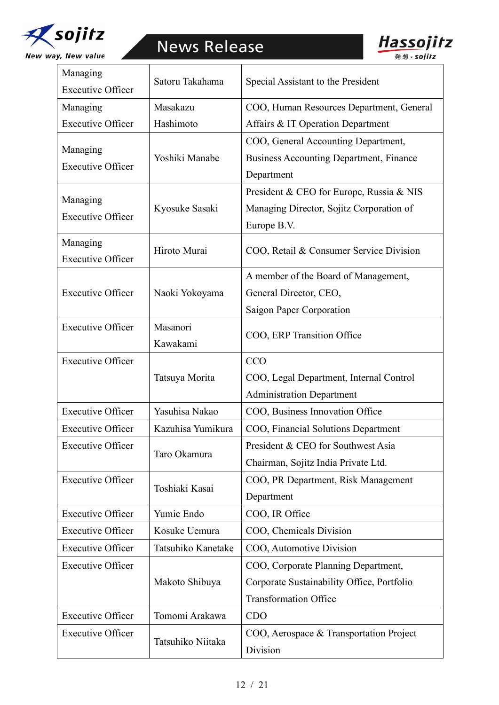



| Managing<br><b>Executive Officer</b> | Satoru Takahama      | Special Assistant to the President                                                                  |
|--------------------------------------|----------------------|-----------------------------------------------------------------------------------------------------|
| Managing                             | Masakazu             | COO, Human Resources Department, General                                                            |
| <b>Executive Officer</b>             | Hashimoto            | Affairs & IT Operation Department                                                                   |
| Managing<br><b>Executive Officer</b> | Yoshiki Manabe       | COO, General Accounting Department,<br><b>Business Accounting Department, Finance</b><br>Department |
| Managing<br><b>Executive Officer</b> | Kyosuke Sasaki       | President & CEO for Europe, Russia & NIS<br>Managing Director, Sojitz Corporation of<br>Europe B.V. |
| Managing<br><b>Executive Officer</b> | Hiroto Murai         | COO, Retail & Consumer Service Division                                                             |
|                                      |                      | A member of the Board of Management,                                                                |
| <b>Executive Officer</b>             | Naoki Yokoyama       | General Director, CEO,                                                                              |
|                                      |                      | Saigon Paper Corporation                                                                            |
| <b>Executive Officer</b>             | Masanori<br>Kawakami | COO, ERP Transition Office                                                                          |
| <b>Executive Officer</b>             |                      | <b>CCO</b>                                                                                          |
|                                      | Tatsuya Morita       | COO, Legal Department, Internal Control                                                             |
|                                      |                      | <b>Administration Department</b>                                                                    |
| <b>Executive Officer</b>             | Yasuhisa Nakao       | COO, Business Innovation Office                                                                     |
| <b>Executive Officer</b>             | Kazuhisa Yumikura    | COO, Financial Solutions Department                                                                 |
| <b>Executive Officer</b>             | Taro Okamura         | President & CEO for Southwest Asia                                                                  |
|                                      |                      | Chairman, Sojitz India Private Ltd.                                                                 |
| <b>Executive Officer</b>             | Toshiaki Kasai       | COO, PR Department, Risk Management                                                                 |
|                                      |                      | Department                                                                                          |
| <b>Executive Officer</b>             | Yumie Endo           | COO, IR Office                                                                                      |
| <b>Executive Officer</b>             | Kosuke Uemura        | COO, Chemicals Division                                                                             |
| <b>Executive Officer</b>             | Tatsuhiko Kanetake   | COO, Automotive Division                                                                            |
| <b>Executive Officer</b>             |                      | COO, Corporate Planning Department,                                                                 |
|                                      | Makoto Shibuya       | Corporate Sustainability Office, Portfolio                                                          |
|                                      |                      | <b>Transformation Office</b>                                                                        |
| <b>Executive Officer</b>             | Tomomi Arakawa       | <b>CDO</b>                                                                                          |
| <b>Executive Officer</b>             | Tatsuhiko Niitaka    | COO, Aerospace & Transportation Project                                                             |
|                                      |                      | Division                                                                                            |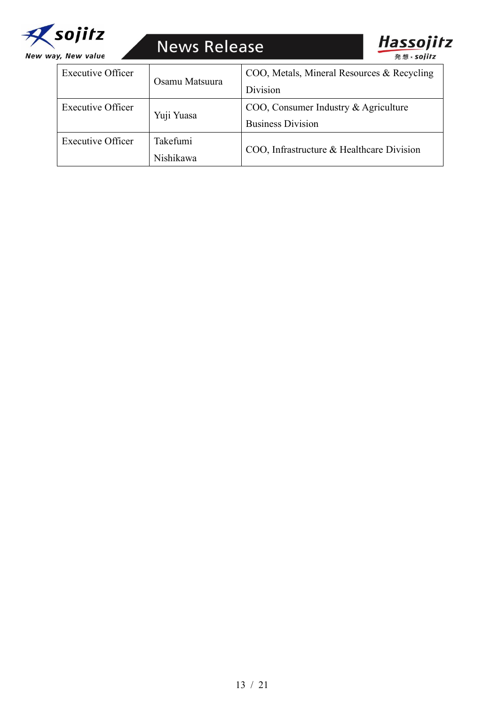



| <b>Executive Officer</b> | Osamu Matsuura | COO, Metals, Mineral Resources & Recycling |
|--------------------------|----------------|--------------------------------------------|
|                          |                | Division                                   |
| <b>Executive Officer</b> | Yuji Yuasa     | COO, Consumer Industry & Agriculture       |
|                          |                | <b>Business Division</b>                   |
| <b>Executive Officer</b> | Takefumi       | COO, Infrastructure & Healthcare Division  |
|                          | Nishikawa      |                                            |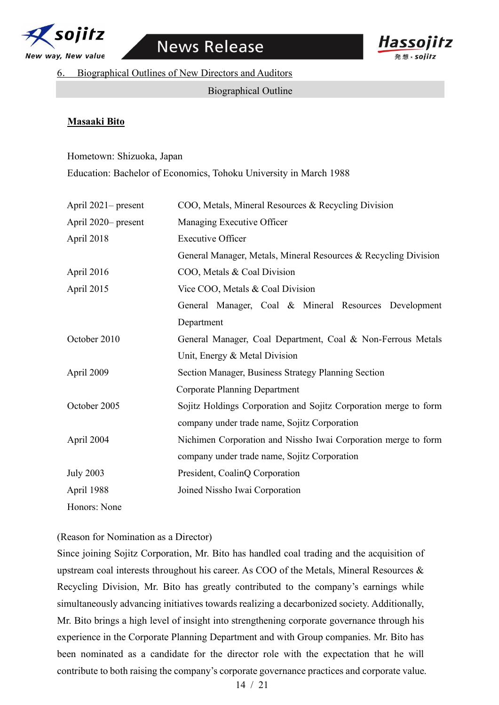



6. Biographical Outlines of New Directors and Auditors

Biographical Outline

#### **Masaaki Bito**

#### Hometown: Shizuoka, Japan

Education: Bachelor of Economics, Tohoku University in March 1988

| April 2021– present | COO, Metals, Mineral Resources & Recycling Division              |
|---------------------|------------------------------------------------------------------|
| April 2020– present | Managing Executive Officer                                       |
| April 2018          | <b>Executive Officer</b>                                         |
|                     | General Manager, Metals, Mineral Resources & Recycling Division  |
| April 2016          | COO, Metals & Coal Division                                      |
| April 2015          | Vice COO, Metals & Coal Division                                 |
|                     | General Manager, Coal & Mineral Resources Development            |
|                     | Department                                                       |
| October 2010        | General Manager, Coal Department, Coal & Non-Ferrous Metals      |
|                     | Unit, Energy & Metal Division                                    |
| April 2009          | Section Manager, Business Strategy Planning Section              |
|                     | <b>Corporate Planning Department</b>                             |
| October 2005        | Sojitz Holdings Corporation and Sojitz Corporation merge to form |
|                     | company under trade name, Sojitz Corporation                     |
| April 2004          | Nichimen Corporation and Nissho Iwai Corporation merge to form   |
|                     | company under trade name, Sojitz Corporation                     |
| <b>July 2003</b>    | President, CoalinQ Corporation                                   |
| April 1988          | Joined Nissho Iwai Corporation                                   |
| Honors: None        |                                                                  |

(Reason for Nomination as a Director)

Since joining Sojitz Corporation, Mr. Bito has handled coal trading and the acquisition of upstream coal interests throughout his career. As COO of the Metals, Mineral Resources & Recycling Division, Mr. Bito has greatly contributed to the company's earnings while simultaneously advancing initiatives towards realizing a decarbonized society. Additionally, Mr. Bito brings a high level of insight into strengthening corporate governance through his experience in the Corporate Planning Department and with Group companies. Mr. Bito has been nominated as a candidate for the director role with the expectation that he will contribute to both raising the company's corporate governance practices and corporate value.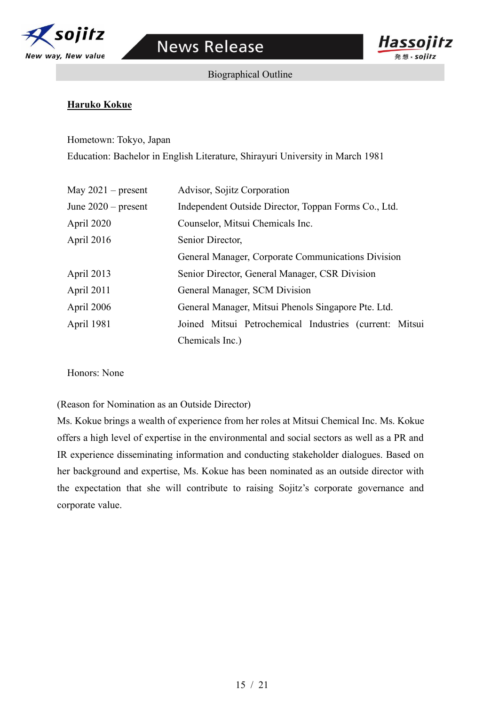

**Hassoiitz** 

発想 × sojitz

Biographical Outline

# **Haruko Kokue**

Hometown: Tokyo, Japan Education: Bachelor in English Literature, Shirayuri University in March 1981

| May $2021$ – present  | Advisor, Sojitz Corporation                             |
|-----------------------|---------------------------------------------------------|
| June $2020$ – present | Independent Outside Director, Toppan Forms Co., Ltd.    |
| April 2020            | Counselor, Mitsui Chemicals Inc.                        |
| April 2016            | Senior Director,                                        |
|                       | General Manager, Corporate Communications Division      |
| April 2013            | Senior Director, General Manager, CSR Division          |
| April 2011            | General Manager, SCM Division                           |
| April 2006            | General Manager, Mitsui Phenols Singapore Pte. Ltd.     |
| <b>April 1981</b>     | Joined Mitsui Petrochemical Industries (current: Mitsui |
|                       | Chemicals Inc.)                                         |

Honors: None

(Reason for Nomination as an Outside Director)

Ms. Kokue brings a wealth of experience from her roles at Mitsui Chemical Inc. Ms. Kokue offers a high level of expertise in the environmental and social sectors as well as a PR and IR experience disseminating information and conducting stakeholder dialogues. Based on her background and expertise, Ms. Kokue has been nominated as an outside director with the expectation that she will contribute to raising Sojitz's corporate governance and corporate value.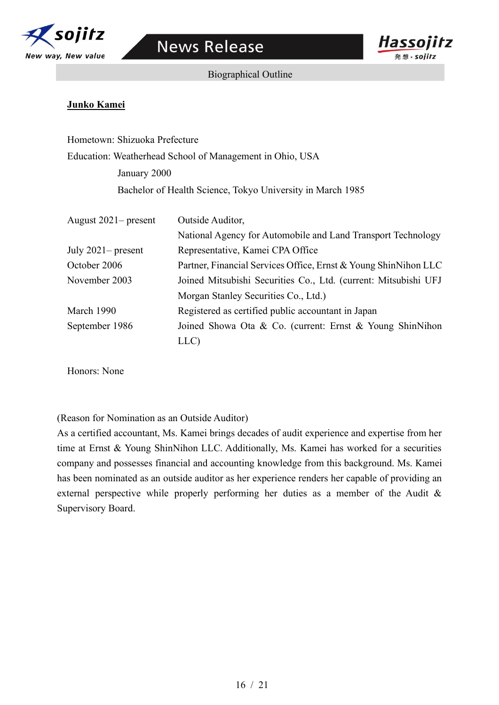



Biographical Outline

### **Junko Kamei**

Hometown: Shizuoka Prefecture Education: Weatherhead School of Management in Ohio, USA January 2000 Bachelor of Health Science, Tokyo University in March 1985

| August $2021$ – present | Outside Auditor,                                                |
|-------------------------|-----------------------------------------------------------------|
|                         | National Agency for Automobile and Land Transport Technology    |
| July $2021$ – present   | Representative, Kamei CPA Office                                |
| October 2006            | Partner, Financial Services Office, Ernst & Young ShinNihon LLC |
| November 2003           | Joined Mitsubishi Securities Co., Ltd. (current: Mitsubishi UFJ |
|                         | Morgan Stanley Securities Co., Ltd.)                            |
| March 1990              | Registered as certified public accountant in Japan              |
| September 1986          | Joined Showa Ota & Co. (current: Ernst & Young ShinNihon        |
|                         | LLC)                                                            |

Honors: None

(Reason for Nomination as an Outside Auditor)

As a certified accountant, Ms. Kamei brings decades of audit experience and expertise from her time at Ernst & Young ShinNihon LLC. Additionally, Ms. Kamei has worked for a securities company and possesses financial and accounting knowledge from this background. Ms. Kamei has been nominated as an outside auditor as her experience renders her capable of providing an external perspective while properly performing her duties as a member of the Audit & Supervisory Board.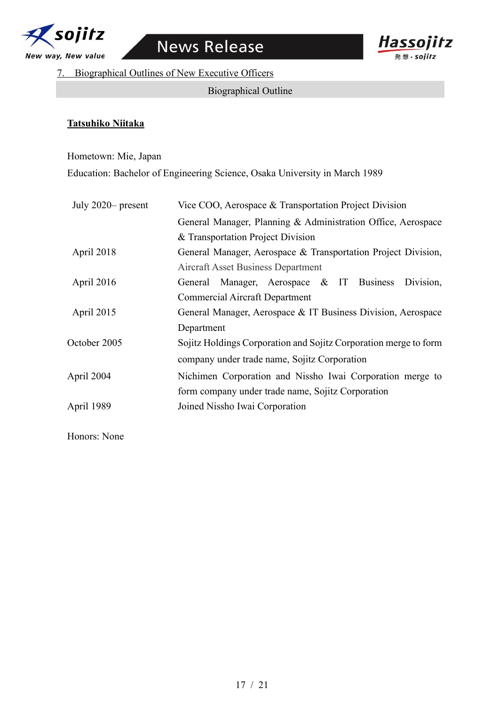



7. Biographical Outlines of New Executive Officers

## Biographical Outline

#### **Tatsuhiko Niitaka**

Hometown: Mie, Japan

Education: Bachelor of Engineering Science, Osaka University in March 1989

| July 2020- present | Vice COO, Aerospace & Transportation Project Division            |
|--------------------|------------------------------------------------------------------|
|                    | General Manager, Planning & Administration Office, Aerospace     |
|                    | & Transportation Project Division                                |
| April 2018         | General Manager, Aerospace & Transportation Project Division,    |
|                    | Aircraft Asset Business Department                               |
| April 2016         | General Manager, Aerospace & IT Business<br>Division,            |
|                    | Commercial Aircraft Department                                   |
| April 2015         | General Manager, Aerospace & IT Business Division, Aerospace     |
|                    | Department                                                       |
| October 2005       | Sojitz Holdings Corporation and Sojitz Corporation merge to form |
|                    | company under trade name, Sojitz Corporation                     |
| April 2004         | Nichimen Corporation and Nissho Iwai Corporation merge to        |
|                    | form company under trade name, Sojitz Corporation                |
| April 1989         | Joined Nissho Iwai Corporation                                   |
|                    |                                                                  |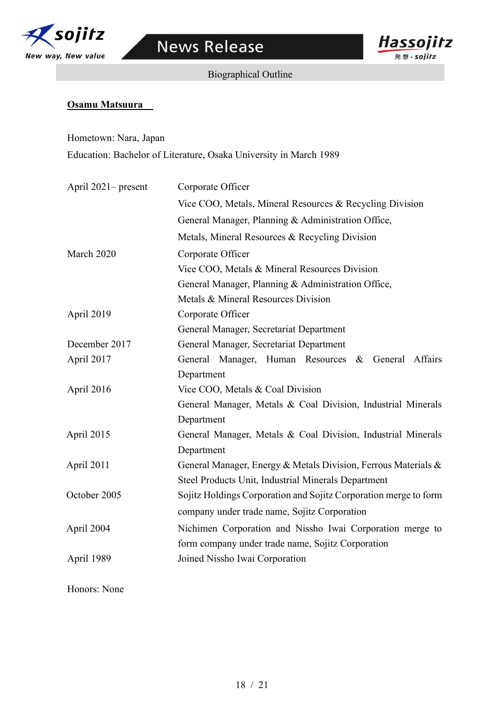

Biographical Outline



#### **Osamu Matsuura**

Hometown: Nara, Japan Education: Bachelor of Literature, Osaka University in March 1989

| April 2021– present | Corporate Officer                                                |
|---------------------|------------------------------------------------------------------|
|                     | Vice COO, Metals, Mineral Resources & Recycling Division         |
|                     | General Manager, Planning & Administration Office,               |
|                     | Metals, Mineral Resources & Recycling Division                   |
| March 2020          | Corporate Officer                                                |
|                     | Vice COO, Metals & Mineral Resources Division                    |
|                     | General Manager, Planning & Administration Office,               |
|                     | Metals & Mineral Resources Division                              |
| April 2019          | Corporate Officer                                                |
|                     | General Manager, Secretariat Department                          |
| December 2017       | General Manager, Secretariat Department                          |
| April 2017          | General Manager, Human Resources &<br>General Affairs            |
|                     | Department                                                       |
| April 2016          | Vice COO, Metals & Coal Division                                 |
|                     | General Manager, Metals & Coal Division, Industrial Minerals     |
|                     | Department                                                       |
| April 2015          | General Manager, Metals & Coal Division, Industrial Minerals     |
|                     | Department                                                       |
| April 2011          | General Manager, Energy & Metals Division, Ferrous Materials &   |
|                     | Steel Products Unit, Industrial Minerals Department              |
| October 2005        | Sojitz Holdings Corporation and Sojitz Corporation merge to form |
|                     | company under trade name, Sojitz Corporation                     |
| April 2004          | Nichimen Corporation and Nissho Iwai Corporation merge to        |
|                     | form company under trade name, Sojitz Corporation                |
| April 1989          | Joined Nissho Iwai Corporation                                   |
|                     |                                                                  |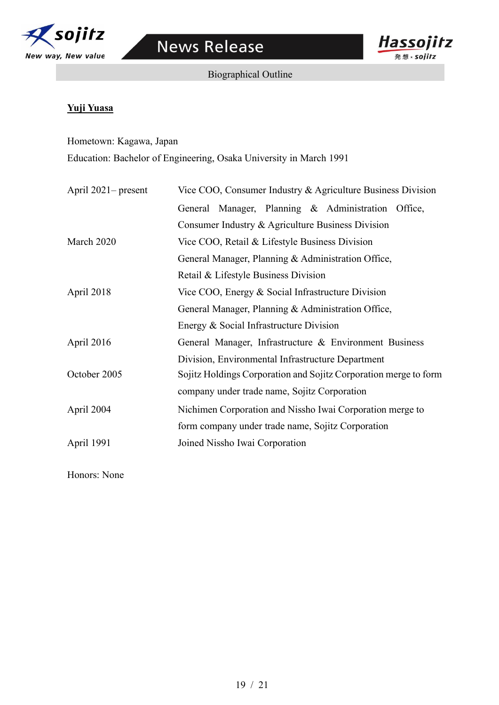



Biographical Outline

# **Yuji Yuasa**

Hometown: Kagawa, Japan Education: Bachelor of Engineering, Osaka University in March 1991

| April $2021$ – present | Vice COO, Consumer Industry & Agriculture Business Division      |
|------------------------|------------------------------------------------------------------|
|                        | General Manager, Planning & Administration Office,               |
|                        | Consumer Industry & Agriculture Business Division                |
| March 2020             | Vice COO, Retail & Lifestyle Business Division                   |
|                        | General Manager, Planning & Administration Office,               |
|                        | Retail & Lifestyle Business Division                             |
| April 2018             | Vice COO, Energy & Social Infrastructure Division                |
|                        | General Manager, Planning & Administration Office,               |
|                        | Energy & Social Infrastructure Division                          |
| April 2016             | General Manager, Infrastructure & Environment Business           |
|                        | Division, Environmental Infrastructure Department                |
| October 2005           | Sojitz Holdings Corporation and Sojitz Corporation merge to form |
|                        | company under trade name, Sojitz Corporation                     |
| April 2004             | Nichimen Corporation and Nissho Iwai Corporation merge to        |
|                        | form company under trade name, Sojitz Corporation                |
| April 1991             | Joined Nissho Iwai Corporation                                   |
|                        |                                                                  |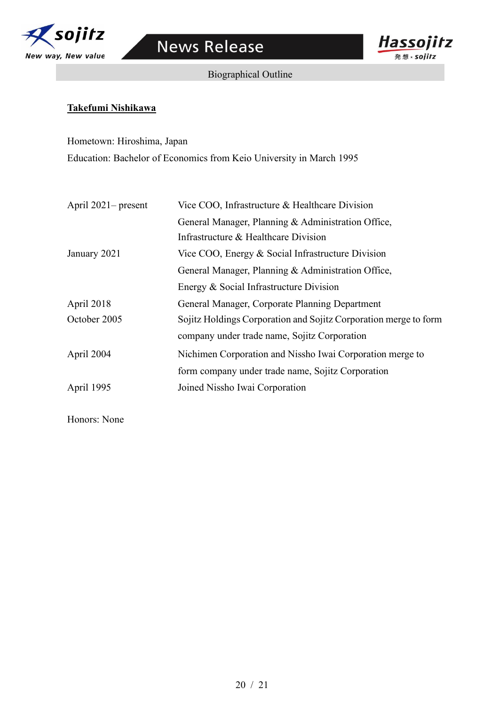



Biographical Outline

## **Takefumi Nishikawa**

Hometown: Hiroshima, Japan Education: Bachelor of Economics from Keio University in March 1995

| April $2021$ – present | Vice COO, Infrastructure & Healthcare Division                   |  |  |
|------------------------|------------------------------------------------------------------|--|--|
|                        | General Manager, Planning & Administration Office,               |  |  |
|                        | Infrastructure & Healthcare Division                             |  |  |
| January 2021           | Vice COO, Energy & Social Infrastructure Division                |  |  |
|                        | General Manager, Planning & Administration Office,               |  |  |
|                        | Energy & Social Infrastructure Division                          |  |  |
| April 2018             | General Manager, Corporate Planning Department                   |  |  |
| October 2005           | Sojitz Holdings Corporation and Sojitz Corporation merge to form |  |  |
|                        | company under trade name, Sojitz Corporation                     |  |  |
| April 2004             | Nichimen Corporation and Nissho Iwai Corporation merge to        |  |  |
|                        | form company under trade name, Sojitz Corporation                |  |  |
| April 1995             | Joined Nissho Iwai Corporation                                   |  |  |
|                        |                                                                  |  |  |